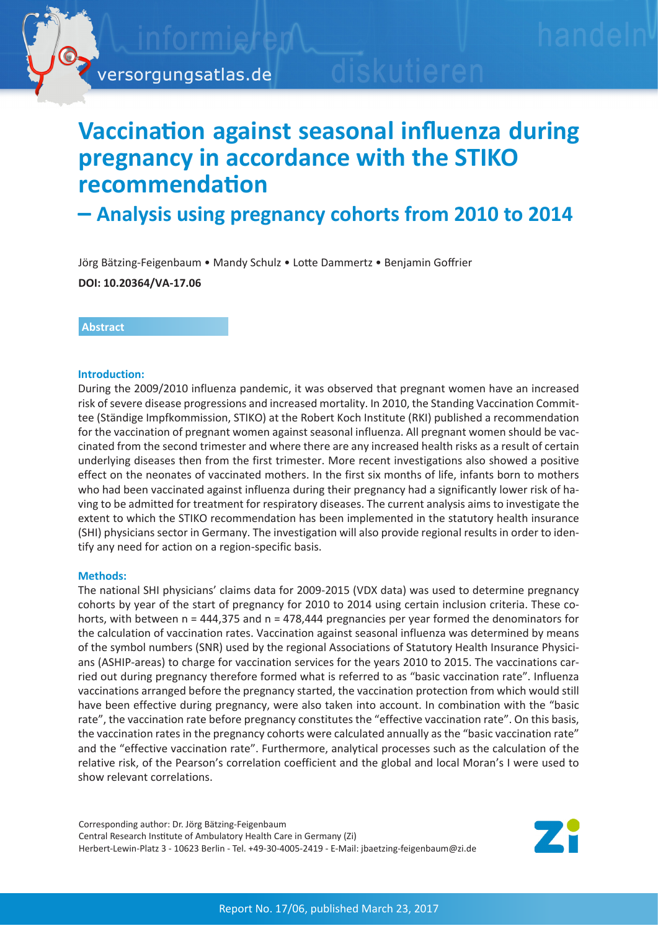

# **Vaccination against seasonal influenza during pregnancy in accordance with the STIKO recommendation**

# **̶ Analysis using pregnancy cohorts from 2010 to 2014**

Jörg Bätzing-Feigenbaum • Mandy Schulz • Lotte Dammertz • Benjamin Goffrier

**DOI: 10.20364/VA-17.06**

# **Abstract**

### **Introduction:**

During the 2009/2010 influenza pandemic, it was observed that pregnant women have an increased risk of severe disease progressions and increased mortality. In 2010, the Standing Vaccination Committee (Ständige Impfkommission, STIKO) at the Robert Koch Institute (RKI) published a recommendation for the vaccination of pregnant women against seasonal influenza. All pregnant women should be vaccinated from the second trimester and where there are any increased health risks as a result of certain underlying diseases then from the first trimester. More recent investigations also showed a positive effect on the neonates of vaccinated mothers. In the first six months of life, infants born to mothers who had been vaccinated against influenza during their pregnancy had a significantly lower risk of having to be admitted for treatment for respiratory diseases. The current analysis aims to investigate the extent to which the STIKO recommendation has been implemented in the statutory health insurance (SHI) physicians sector in Germany. The investigation will also provide regional results in order to identify any need for action on a region-specific basis.

# **Methods:**

The national SHI physicians' claims data for 2009-2015 (VDX data) was used to determine pregnancy cohorts by year of the start of pregnancy for 2010 to 2014 using certain inclusion criteria. These cohorts, with between n = 444,375 and n = 478,444 pregnancies per year formed the denominators for the calculation of vaccination rates. Vaccination against seasonal influenza was determined by means of the symbol numbers (SNR) used by the regional Associations of Statutory Health Insurance Physicians (ASHIP-areas) to charge for vaccination services for the years 2010 to 2015. The vaccinations carried out during pregnancy therefore formed what is referred to as "basic vaccination rate". Influenza vaccinations arranged before the pregnancy started, the vaccination protection from which would still have been effective during pregnancy, were also taken into account. In combination with the "basic rate", the vaccination rate before pregnancy constitutes the "effective vaccination rate". On this basis, the vaccination rates in the pregnancy cohorts were calculated annually as the "basic vaccination rate" and the "effective vaccination rate". Furthermore, analytical processes such as the calculation of the relative risk, of the Pearson's correlation coefficient and the global and local Moran's I were used to show relevant correlations.

Corresponding author: Dr. Jörg Bätzing-Feigenbaum Central Research Institute of Ambulatory Health Care in Germany (Zi) Herbert-Lewin-Platz 3 - 10623 Berlin - Tel. +49-30-4005-2419 - E-Mail: jbaetzing-feigenbaum@zi.de